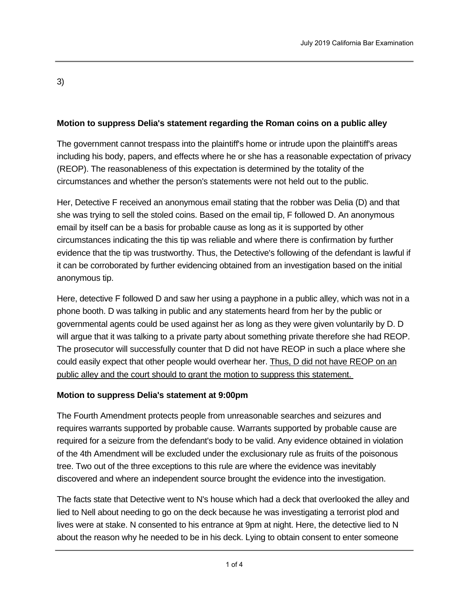3)

## **Motion to suppress Delia's statement regarding the Roman coins on a public alley**

The government cannot trespass into the plaintiff's home or intrude upon the plaintiff's areas including his body, papers, and effects where he or she has a reasonable expectation of privacy (REOP). The reasonableness of this expectation is determined by the totality of the circumstances and whether the person's statements were not held out to the public.

Her, Detective F received an anonymous email stating that the robber was Delia (D) and that she was trying to sell the stoled coins. Based on the email tip, F followed D. An anonymous email by itself can be a basis for probable cause as long as it is supported by other circumstances indicating the this tip was reliable and where there is confirmation by further evidence that the tip was trustworthy. Thus, the Detective's following of the defendant is lawful if it can be corroborated by further evidencing obtained from an investigation based on the initial anonymous tip.

Here, detective F followed D and saw her using a payphone in a public alley, which was not in a phone booth. D was talking in public and any statements heard from her by the public or governmental agents could be used against her as long as they were given voluntarily by D. D will argue that it was talking to a private party about something private therefore she had REOP. The prosecutor will successfully counter that D did not have REOP in such a place where she could easily expect that other people would overhear her. Thus, D did not have REOP on an public alley and the court should to grant the motion to suppress this statement.

### **Motion to suppress Delia's statement at 9:00pm**

The Fourth Amendment protects people from unreasonable searches and seizures and requires warrants supported by probable cause. Warrants supported by probable cause are required for a seizure from the defendant's body to be valid. Any evidence obtained in violation of the 4th Amendment will be excluded under the exclusionary rule as fruits of the poisonous tree. Two out of the three exceptions to this rule are where the evidence was inevitably discovered and where an independent source brought the evidence into the investigation.

The facts state that Detective went to N's house which had a deck that overlooked the alley and lied to Nell about needing to go on the deck because he was investigating a terrorist plod and lives were at stake. N consented to his entrance at 9pm at night. Here, the detective lied to N about the reason why he needed to be in his deck. Lying to obtain consent to enter someone

else's home invalidates consent and any evidence resulting from such invariant  $\alpha$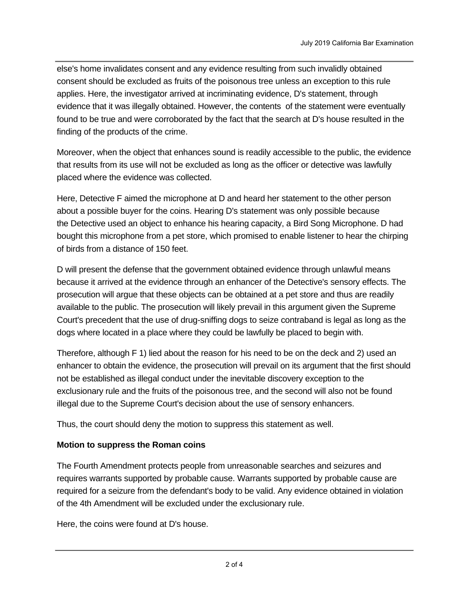else's home invalidates consent and any evidence resulting from such invalidly obtained consent should be excluded as fruits of the poisonous tree unless an exception to this rule applies. Here, the investigator arrived at incriminating evidence, D's statement, through evidence that it was illegally obtained. However, the contents of the statement were eventually found to be true and were corroborated by the fact that the search at D's house resulted in the finding of the products of the crime.

Moreover, when the object that enhances sound is readily accessible to the public, the evidence that results from its use will not be excluded as long as the officer or detective was lawfully placed where the evidence was collected.

Here, Detective F aimed the microphone at D and heard her statement to the other person about a possible buyer for the coins. Hearing D's statement was only possible because the Detective used an object to enhance his hearing capacity, a Bird Song Microphone. D had bought this microphone from a pet store, which promised to enable listener to hear the chirping of birds from a distance of 150 feet.

D will present the defense that the government obtained evidence through unlawful means because it arrived at the evidence through an enhancer of the Detective's sensory effects. The prosecution will argue that these objects can be obtained at a pet store and thus are readily available to the public. The prosecution will likely prevail in this argument given the Supreme Court's precedent that the use of drug-sniffing dogs to seize contraband is legal as long as the dogs where located in a place where they could be lawfully be placed to begin with.

Therefore, although F 1) lied about the reason for his need to be on the deck and 2) used an enhancer to obtain the evidence, the prosecution will prevail on its argument that the first should not be established as illegal conduct under the inevitable discovery exception to the exclusionary rule and the fruits of the poisonous tree, and the second will also not be found illegal due to the Supreme Court's decision about the use of sensory enhancers.

Thus, the court should deny the motion to suppress this statement as well.

### **Motion to suppress the Roman coins**

The Fourth Amendment protects people from unreasonable searches and seizures and requires warrants supported by probable cause. Warrants supported by probable cause are required for a seizure from the defendant's body to be valid. Any evidence obtained in violation of the 4th Amendment will be excluded under the exclusionary rule.

Here, the coins were found at D's house.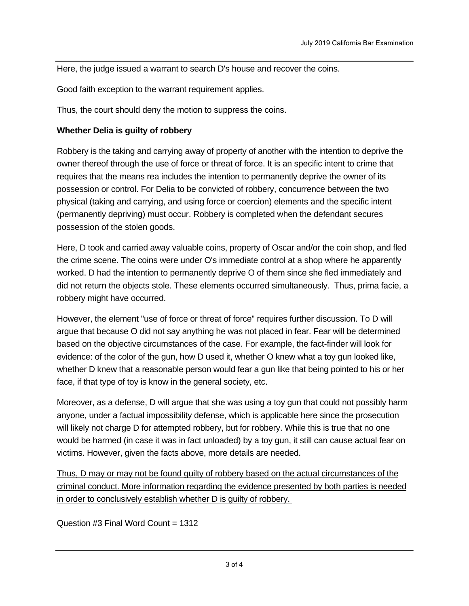Here, the judge issued a warrant to search D's house and recover the coins.

Good faith exception to the warrant requirement applies.

Thus, the court should deny the motion to suppress the coins.

#### **Whether Delia is guilty of robbery**

Robbery is the taking and carrying away of property of another with the intention to deprive the owner thereof through the use of force or threat of force. It is an specific intent to crime that requires that the means rea includes the intention to permanently deprive the owner of its possession or control. For Delia to be convicted of robbery, concurrence between the two physical (taking and carrying, and using force or coercion) elements and the specific intent (permanently depriving) must occur. Robbery is completed when the defendant secures possession of the stolen goods.

Here, D took and carried away valuable coins, property of Oscar and/or the coin shop, and fled the crime scene. The coins were under O's immediate control at a shop where he apparently worked. D had the intention to permanently deprive O of them since she fled immediately and did not return the objects stole. These elements occurred simultaneously. Thus, prima facie, a robbery might have occurred.

However, the element "use of force or threat of force" requires further discussion. To D will argue that because O did not say anything he was not placed in fear. Fear will be determined based on the objective circumstances of the case. For example, the fact-finder will look for evidence: of the color of the gun, how D used it, whether O knew what a toy gun looked like, whether D knew that a reasonable person would fear a gun like that being pointed to his or her face, if that type of toy is know in the general society, etc.

Moreover, as a defense, D will argue that she was using a toy gun that could not possibly harm anyone, under a factual impossibility defense, which is applicable here since the prosecution will likely not charge D for attempted robbery, but for robbery. While this is true that no one would be harmed (in case it was in fact unloaded) by a toy gun, it still can cause actual fear on victims. However, given the facts above, more details are needed.

Thus, D may or may not be found guilty of robbery based on the actual circumstances of the criminal conduct. More information regarding the evidence presented by both parties is needed in order to conclusively establish whether D is guilty of robbery.

Question #3 Final Word Count = 1312